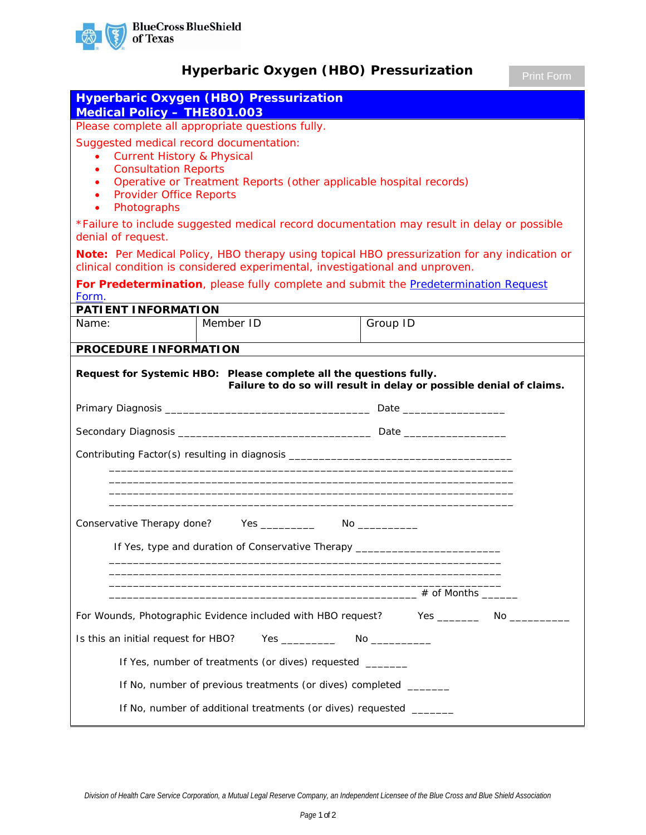

## **Hyperbaric Oxygen (HBO) Pressurization**

|                                                                                                                                                                                                                                                                                                         | <b>Hyperbaric Oxygen (HBO) Pressurization</b>                                    |                                                                                                                                                                                                                                                            |  |
|---------------------------------------------------------------------------------------------------------------------------------------------------------------------------------------------------------------------------------------------------------------------------------------------------------|----------------------------------------------------------------------------------|------------------------------------------------------------------------------------------------------------------------------------------------------------------------------------------------------------------------------------------------------------|--|
| <b>Medical Policy - THE801.003</b>                                                                                                                                                                                                                                                                      |                                                                                  |                                                                                                                                                                                                                                                            |  |
| Please complete all appropriate questions fully.                                                                                                                                                                                                                                                        |                                                                                  |                                                                                                                                                                                                                                                            |  |
| Suggested medical record documentation:<br><b>Current History &amp; Physical</b><br>$\bullet$<br><b>Consultation Reports</b><br>$\bullet$<br>Operative or Treatment Reports (other applicable hospital records)<br>$\bullet$<br><b>Provider Office Reports</b><br>$\bullet$<br>Photographs<br>$\bullet$ |                                                                                  |                                                                                                                                                                                                                                                            |  |
| *Failure to include suggested medical record documentation may result in delay or possible<br>denial of request.                                                                                                                                                                                        |                                                                                  |                                                                                                                                                                                                                                                            |  |
|                                                                                                                                                                                                                                                                                                         | clinical condition is considered experimental, investigational and unproven.     | Note: Per Medical Policy, HBO therapy using topical HBO pressurization for any indication or                                                                                                                                                               |  |
| Form.                                                                                                                                                                                                                                                                                                   |                                                                                  | For Predetermination, please fully complete and submit the Predetermination Request                                                                                                                                                                        |  |
| PATIENT INFORMATION                                                                                                                                                                                                                                                                                     |                                                                                  |                                                                                                                                                                                                                                                            |  |
| Name:                                                                                                                                                                                                                                                                                                   | Member ID                                                                        | Group ID                                                                                                                                                                                                                                                   |  |
| PROCEDURE INFORMATION                                                                                                                                                                                                                                                                                   |                                                                                  |                                                                                                                                                                                                                                                            |  |
|                                                                                                                                                                                                                                                                                                         | Request for Systemic HBO: Please complete all the questions fully.               | Failure to do so will result in delay or possible denial of claims.                                                                                                                                                                                        |  |
|                                                                                                                                                                                                                                                                                                         |                                                                                  |                                                                                                                                                                                                                                                            |  |
|                                                                                                                                                                                                                                                                                                         | Contributing Factor(s) resulting in diagnosis __________________________________ |                                                                                                                                                                                                                                                            |  |
| Conservative Therapy done? Yes _________<br>If Yes, type and duration of Conservative Therapy ______________________________                                                                                                                                                                            |                                                                                  |                                                                                                                                                                                                                                                            |  |
|                                                                                                                                                                                                                                                                                                         |                                                                                  |                                                                                                                                                                                                                                                            |  |
|                                                                                                                                                                                                                                                                                                         | For Wounds, Photographic Evidence included with HBO request?                     | Yes $\rule{1em}{0.15mm}$<br>No control to the North State of the North State of the North State of the North State of the North State of the North State of the North State of the North State of the North State of the North State of the North State of |  |
| Is this an initial request for HBO?                                                                                                                                                                                                                                                                     | Yes ______________  No ______________                                            |                                                                                                                                                                                                                                                            |  |
| If Yes, number of treatments (or dives) requested _______                                                                                                                                                                                                                                               |                                                                                  |                                                                                                                                                                                                                                                            |  |
| If No, number of previous treatments (or dives) completed _______                                                                                                                                                                                                                                       |                                                                                  |                                                                                                                                                                                                                                                            |  |
| If No, number of additional treatments (or dives) requested _______                                                                                                                                                                                                                                     |                                                                                  |                                                                                                                                                                                                                                                            |  |